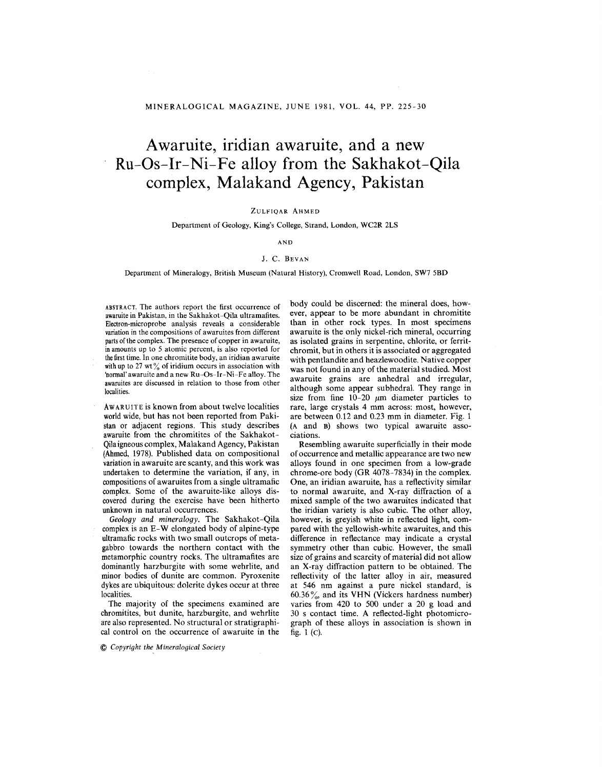# **Awaruite, iridian awaruite, and a new Ru-Os-Ir-Ni-Fe alloy from the Sakhakot-Qila complex, Malakand Agency, Pakistan**

# ZULFIQAR AHMED

## Department of Geology, King's College, Strand, London, WC2R 2LS

AND

#### J. C. BEVAN

### Department of Mineralogy, British Museum (Natural History), Cromwell Road, London, SW7 5BD

ABSTRACT. The authors report the first occurrence of awaruite in Pakistan, in the Sakhakot-Qila ultramafites. Electron-microprobe analysis reveals a considerable variation in the compositions of awaruites from different parts of the complex. The presence of copper in awaruite, in amounts up to 5 atomic percent, is also reported for the first time. In one chromitite body, an iridian awaruite with up to 27 wt $\%$  of iridium occurs in association with 'normal' awaruite and a new Ru-Os-Ir-Ni-Fe alloy. The awaruites are discussed in relation to those from other localities.

AwARUITEis known from about twelve localities world wide, but has not been reported from Pakistan or adjacent regions. This study describes awaruite from the chromitites of the Sakhakot-Qilaigneous complex, Malakand Agency, Pakistan (Ahmed, 1978). Published data on compositional variation in awaruite are scanty, and this work was undertaken to determine the variation, if any, in compositions of awaruites from a single ultramafic complex. Some of the awaruite-like alloys discovered during the exercise have been hitherto unknown in natural occurrences.

Geology *and mineralogy.* The Sakhakot-Qila complex is an E-W elongated body of alpine-type ultramafic rocks with two small outcrops of metagabbro towards the northern contact with the metamorphic country rocks. The ultramafites are dominantly harzburgite with some wehrlite, and minor bodies of dunite are common. Pyroxenite dykes are ubiquitous: dolerite dykes occur at three localities.

The majority of the specimens examined are chromitites, but dunite, harzburgite, and wehrlite are also represented. No structural or stratigraphical control on the occurrence of awaruite in the

@ *Copyright the Mineralogical Society*

body could be discerned: the mineral does, however, appear to be more abundant in chromitite than in other rock types. **In** most specimens awaruite is the only nickel-rich mineral, occurring as isolated grains in serpentine, chlorite, or ferritchromit, but in others it is associated or aggregated with pentlandite and heazlewoodite. Native copper was not found in any of the material studied. Most awaruite grains are anhedral and irregular, although some appear subhedral. They range in size from fine  $10-20 \mu m$  diameter particles to rare, large crystals 4 mm across: most, however, are between 0.12 and 0.23 mm in diameter. Fig. 1 (A and B) shows two typical awaruite associations.

Resembling awaruite superficially in their mode of occurrence and metallic appearance are two new alloys found in one specimen from a low-grade chrome-ore body (GR 4078-7834) in the complex. One, an iridian awaruite, has a reflectivity similar to normal awaruite, and X-ray diffraction of a mixed sample of the two awaruites indicated that the iridian variety is also cubic. The other alloy, however, is greyish white in reflected light, compared with the yellowish-white awaruites, and this difference in reflectance may indicate a crystal symmetry other than cubic. However, the small size of grains and scarcity of material did not allow an X-ray diffraction pattern to be obtained. The reflectivity of the latter alloy in air, measured at 546 nm against a pure nickel standard, is  $60.36\%$  and its VHN (Vickers hardness number) varies from 420 to 500 under a 20 g load and 30 s contact time. A reflected-light photomicrograph of these alloys in association is shown in fig. 1 (c).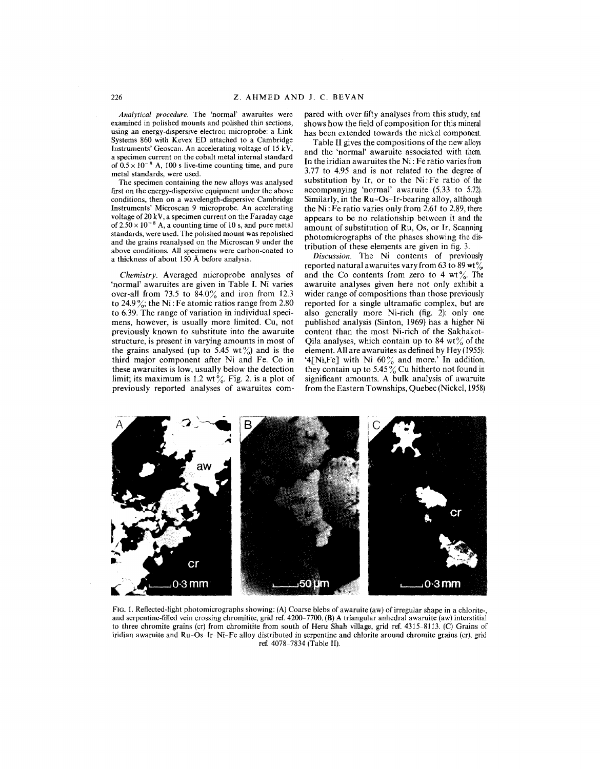*Analytical procedure.* The 'normal' awaruites were examined in polished mounts and polished thin sections, using an energy-dispersive electron microprobe: a Link Systems 860 with Kevex ED attached to a Cambridge Instruments' Geoscan. An accelerating voltage of 15 kV, a specimen current on the cobalt metal internal standard of  $0.5 \times 10^{-8}$  A, 100 s live-time counting time, and pure metal standards, were used.

The specimen containing the new alloys was analysed first on the energy-dispersive equipment under the above conditions, then on a wavelength-dispersive Cambridge Instruments' Microscan 9 microprobe. An accelerating voltage of 20 kV, a specimen current on the Faraday cage of  $2.50 \times 10^{-8}$  A, a counting time of 10 s, and pure metal standards, were used. The polished mount was repolished and the grains reanalysed on the Microscan 9 under the above conditions. All specimens were carbon-coated to a thickness of about 150 A before analysis.

*Chemistry.* Averaged microprobe analyses of 'normal' awaruites are given in Table I. Ni varies over-all from 73.5 to  $84.0\%$  and iron from 12.3 to 24.9%; the Ni : Fe atomic ratios range from 2.80 to 6.39. The range of variation in individual specimens, however, is usually more limited. Cu, not previously known to substitute into the awaruite structure, is present in varying amounts in most of the grains analysed (up to 5.45 wt%) and is the third major component after Ni and Fe. Co in these awaruites is low, usually below the detection limit; its maximum is 1.2 wt  $\frac{6}{6}$ . Fig. 2. is a plot of previously reported analyses of awaruites compared with over fifty analyses from this study, and shows how the field of composition for this mineral has been extended towards the nickel component.

Table II gives the compositions of the new alloys and the 'normal' awaruite associated with them. In the iridian awaruites the Ni: Fe ratio varies from 3.77 to 4.95 and is not related to the degree of substitution by Ir, or to the Ni: Fe ratio of the accompanying 'normal' awaruite (5.33 to 5.72). Similarly, in the Ru-Os-Ir-bearing alloy, although the Ni: Fe ratio varies only from 2.61 to 2.89, there appears to be no relationship between it and the amount of substitution of Ru, Os, or If. Scanning photomicrographs of the phases showing the distribution of these elements are given in fig. 3.

*Discussion.* The Ni contents of previously reported natural awaruites vary from 63 to 89 wt $\frac{9}{20}$ and the Co contents from zero to 4 wt  $\%$ . The awaruite analyses given here not only exhibit a wider range of compositions than those previously reported for a single ultramafic complex, but are also generally more Ni-rich (fig. 2): only one published analysis (Sinton, 1969) has a higher Ni content than the most Ni-rich of the Sakhakot-Qila analyses, which contain up to 84  $wt\%$  of the element. All are awaruites as defined by Hey (1955): '4[Ni,Fe] with Ni  $60\%$  and more.' In addition they contain up to 5.45  $\%$  Cu hitherto not found in significant amounts. A bulk analysis of awaruite from the Eastern Townships, Quebec (Nickel, 1958)



FiG. 1. Reflected-light photomicrographs showing: (A) Coarse blebs of awaruite (aw) of irregular shape in a chlorite-, and serpentine-filled vein crossing chromitite, grid ref. 4200-7700. (B) A triangular anhedral awaruite (aw) interstitial to three chromite grains (cr) from chromitite from south of Heru Shah village, grid ref. 4315-8113. (C) Grains of iridian awaruite and Ru-Os-Ir-Ni-Fe alloy distributed in serpentine and chlorite around chromite grains (cr), grid ref. 4078-7834 (Table II).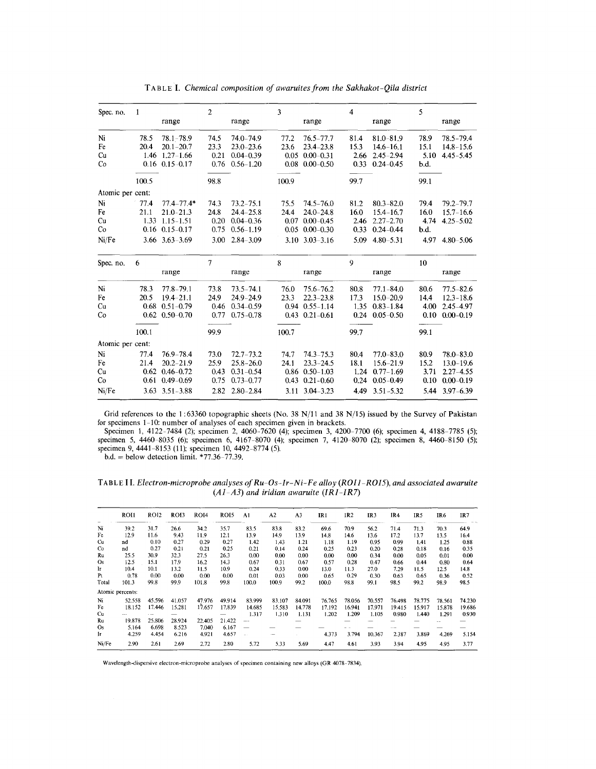| Spec. no.        | 1            | range                          | $\overline{2}$ | range                      | 3            | range                          | 4            | range                      | 5            | range                      |  |
|------------------|--------------|--------------------------------|----------------|----------------------------|--------------|--------------------------------|--------------|----------------------------|--------------|----------------------------|--|
|                  |              |                                |                |                            |              |                                |              |                            |              |                            |  |
| Ni<br>Fe         | 78.5<br>20.4 | $78.1 - 78.9$<br>$20.1 - 20.7$ | 74.5<br>23.3   | 74.0-74.9<br>$23.0 - 23.6$ | 77.2<br>23.6 | $76.5 - 77.7$<br>$23.4 - 23.8$ | 81.4<br>15.3 | 81.0-81.9<br>$14.6 - 16.1$ | 78.9<br>15.1 | 78.5-79.4<br>$14.8 - 15.6$ |  |
| Cu               | 1.46         | $1,27-1.66$                    | 0.21           | $0.04 - 0.39$              | 0.05         | $0.00 - 0.31$                  | 2.66         | $2.45 - 2.94$              | 5.10         | $4.45 - 5.45$              |  |
| Co               |              | $0.16$ $0.15 - 0.17$           | 0.76           | $0.56 - 1.20$              | 0.08         | $0.00 - 0.50$                  | 0.33         | $0.24 - 0.45$              | b.d.         |                            |  |
|                  | 100.5        |                                | 98.8           |                            | 100.9        |                                | 99.7         |                            | 99.1         |                            |  |
|                  |              |                                |                |                            |              |                                |              |                            |              |                            |  |
| Atomic per cent: |              |                                |                |                            |              |                                |              |                            |              |                            |  |
| Ni               | 77.4         | $77.4 - 77.4*$                 | 74.3           | $73.2 - 75.1$              | 75.5         | $74.5 - 76.0$                  | 81.2         | $80.3 - 82.0$              | 79.4         | $79.2 - 79.7$              |  |
| Fe               | 21.1         | $21.0 - 21.3$                  | 24.8           | $24.4 - 25.8$              | 24.4         | $24.0 - 24.8$                  | 16.0         | $15.4 - 16.7$              | 16.0         | $15.7 - 16.6$              |  |
| Cu               | 1.33         | $1.15 - 1.51$                  | 0.20           | $0.04 - 0.36$              | 0.07         | $0.00 - 0.45$                  | 2.46         | $2.27 - 2.70$              | 4.74         | $4.25 - 5.02$              |  |
| Co               | 0.16         | $0.15 - 0.17$                  | 0.75           | $0.56 - 1.19$              | 0.05         | $0.00 - 0.30$                  | 0.33         | $0.24 - 0.44$              | b.d.         |                            |  |
| Ni/Fe            |              | $3.66$ $3.63 - 3.69$           | 3.00           | $2.84 - 3.09$              |              | $3.10$ $3.03 - 3.16$           | 5.09         | $4.80 - 5.31$              | 4.97         | $4.80 - 5.06$              |  |
| Spec. no.        | 6            |                                | 7              |                            | 8            |                                | 9            |                            | 10           |                            |  |
|                  |              | range                          |                | range                      |              | range                          |              | range                      |              | range                      |  |
| Ni               | 78.3         | $77.8 - 79.1$                  | 73.8           | $73.5 - 74.1$              | 76.0         | 75.6-76.2                      | 80.8         | $77.1 - 84.0$              | 80.6         | $77.5 - 82.6$              |  |
| Fe               | 20.5         | $19.4 - 21.1$                  | 24.9           | 24.9-24.9                  | 23.3         | $22.3 - 23.8$                  | 17.3         | $15.0 - 20.9$              | 14.4         | $12.3 - 18.6$              |  |
| Cu               | 0.68         | $0.51 - 0.79$                  | 0.46           | $0.34 - 0.59$              | 0.94         | $0.55 - 1.14$                  | 1.35         | $0.83 - 1.84$              | 4.00         | $2.45 - 4.97$              |  |
| Co               |              | $0.62 \quad 0.50 - 0.70$       | 0.77           | $0.75 - 0.78$              |              | $0.43 \quad 0.21 - 0.61$       | 0.24         | $0.05 - 0.50$              | 0.10         | $0.00 - 0.19$              |  |
|                  | 100.1        |                                | 99.9           |                            | 100.7        |                                | 99.7         |                            | 99.1         |                            |  |
| Atomic per cent: |              |                                |                |                            |              |                                |              |                            |              |                            |  |
| Ni               | 77.4         | $76.9 - 78.4$                  | 73.0           | $72.7 - 73.2$              | 74.7         | $74.3 - 75.3$                  | 80.4         | $77.0 - 83.0$              | 80.9         | 78.0-83.0                  |  |
| Fe               | 21.4         | $20.2 - 21.9$                  | 25.9           | $25.8 - 26.0$              | 24.1         | $23.3 - 24.5$                  | 18.1         | $15.6 - 21.9$              | 15.2         | $13.0 - 19.6$              |  |
| Cu               | 0.62         | $0.46 - 0.72$                  | 0.43           | $0.31 - 0.54$              | 0.86         | $0.50 - 1.03$                  | 1.24         | $0.77 - 1.69$              | 3.71         | $2.27 - 4.55$              |  |
| Co               | 0.61         | $0.49 - 0.69$                  | 0.75           | $0.73 - 0.77$              | 0.43         | $0.21 - 0.60$                  | 0.24         | $0.05 - 0.49$              | 0.10         | $0.00 - 0.19$              |  |
| Ni/Fe            |              | $3.63$ $3.51 - 3.88$           | 2.82           | $2.80 - 2.84$              | 3.11         | $3.04 - 3.23$                  | 4.49         | $3.51 - 5.32$              | 5.44         | $3.97 - 6.39$              |  |
|                  |              |                                |                |                            |              |                                |              |                            |              |                            |  |

TABLEI. *Chemical composition of awaruites from the Sakhakot -Qila district*

Grid references to the 1 : 63360 topographic sheets (No. 38 *Nl11* and 38 *N/15)* issued by the Survey of Pakistan for specimens 1-10: number of analyses of each specimen given in brackets.

Specimen 1,4122-7484 (2); specimen 2, 4060-7620 (4); specimen 3,4200-7700 (6); specimen 4, 4188-7785 (5); specimen 5, 4460-8035 (6); specimen 6, 4167-8070 (4); specimen 7, 4120-8070 (2); specimen 8, 4460-8150 (5); specimen 9, 4441-8153 (11); specimen 10,4492-8774 (5).

 $b.d. =$  below detection limit. \*77.36-77.3

TABLEI I. *Electron-microprobe analyses of Ru-Os-Ir-Ni-Fe alloy (ROIl-ROI5), and associated awaruite (AI-A3) and iridian awaruite (IRI-IR7)*

|                | ROI1             | <b>ROI2</b> | ROI3   | <b>ROI4</b> | ROI5   | A1            | A <sub>2</sub> | A <sub>3</sub> | IR1    | IR <sub>2</sub> | IR <sub>3</sub> | IR4    | IR5    | IR6    | IR7    |
|----------------|------------------|-------------|--------|-------------|--------|---------------|----------------|----------------|--------|-----------------|-----------------|--------|--------|--------|--------|
| $N_{\rm I}$    | 39.2             | 31.7        | 26.6   | 34.2        | 35.7   | 83.5          | 83.8           | 83.2           | 69.6   | 70.9            | 56.2            | 71.4   | 71.3   | 70.3   | 64.9   |
| Fe             | 12.9             | 11.6        | 9.43   | 11.9        | 12.1   | 13.9          | 14.9           | 13.9           | 14.8   | 14.6            | 13.6            | 17.2   | 13.7   | 13.5   | 16.4   |
| Cu             | nd               | 0.10        | 0.27   | 0.29        | 0.27   | 1.42          | 1.43           | 1.21           | 1.18   | 1.19            | 0.95            | 0.99   | 1.41   | 1.25   | 0.88   |
| Co             | nd               | 0.27        | 0.21   | 0.21        | 0.25   | 0.21          | 0.14           | 0.24           | 0.25   | 0.23            | 0.20            | 0.28   | 0.18   | 0.16   | 0.35   |
| Ru             | 25.5             | 30.9        | 32.3   | 27.5        | 26.3   | 0.00          | 0.00           | 0.00           | 0.00   | 0.00            | 0.34            | 0.00   | 0.05   | 0.01   | 0.00   |
| <b>Os</b>      | 12.5             | 15.1        | 17.9   | 16.2        | 14.3   | 0.67          | 0.31           | 0.67           | 0.57   | 0.28            | 0.47            | 0.66   | 0.44   | 0.80   | 0.64   |
| Ir             | 10.4             | 10.1        | 13.2   | 11.5        | 10.9   | 0.24          | 0.33           | 0.00           | 13.0   | 11.3            | 27.0            | 7.29   | 11.5   | 12.5   | 14.8   |
| P <sub>t</sub> | 0.78             | 0.00        | 0.00   | 0.00        | 0.00   | 0.01          | 0.03           | 0.00           | 0.65   | 0.29            | 0.30            | 0.63   | 0.65   | 0.36   | 0.52   |
| Total          | 101.3            | 99.8        | 99.9   | 101.8       | 99.8   | 100.0         | 100.9          | 99.2           | 100.0  | 98.8            | 99.1            | 98.5   | 99.2   | 98.9   | 98.5   |
|                | Atomic percents: |             |        |             |        |               |                |                |        |                 |                 |        |        |        |        |
| Ni             | 52.558           | 45.596      | 41.057 | 47.976      | 49.914 | 83.999        | 83.107         | 84.091         | 76.765 | 78.056          | 70.557          | 76.498 | 78.775 | 78.561 | 74.230 |
| Fe             | 18.152           | 17.446      | 15.281 | 17.657      | 17.839 | 14.685        | 15.583         | 14.778         | 17.192 | 16.941          | 17.971          | 19.415 | 15.917 | 15.878 | 19.686 |
| Cu             |                  |             |        |             |        | 1.317         | 1.310          | 1.131          | 1.202  | 1.209           | 1.105           | 0.980  | 1.440  | 1.291  | 0.930  |
| Ru             | 19.878           | 25.806      | 28.924 | 22.405      | 21.422 | $- -$         |                | -              |        |                 |                 |        |        |        |        |
| Os             | 5.164            | 6.698       | 8.523  | 7.040       | 6.167  |               |                |                |        |                 |                 |        |        |        |        |
| Iг             | 4.259            | 4.454       | 6.216  | 4,921       | 4.657  | $\sim$ $\sim$ |                |                | 4.373  | 3.794           | 10.367          | 2.387  | 3.869  | 4.269  | 5.154  |
| Ni/Fe          | 2.90             | 2.61        | 2.69   | 2.72        | 2.80   | 5.72          | 5.33           | 5.69           | 4.47   | 4.61            | 3.93            | 3.94   | 4.95   | 4.95   | 3.77   |

Wavelength-dispersive electron-microprobe analyses of specimen containing new alloys (GR 4078-7834).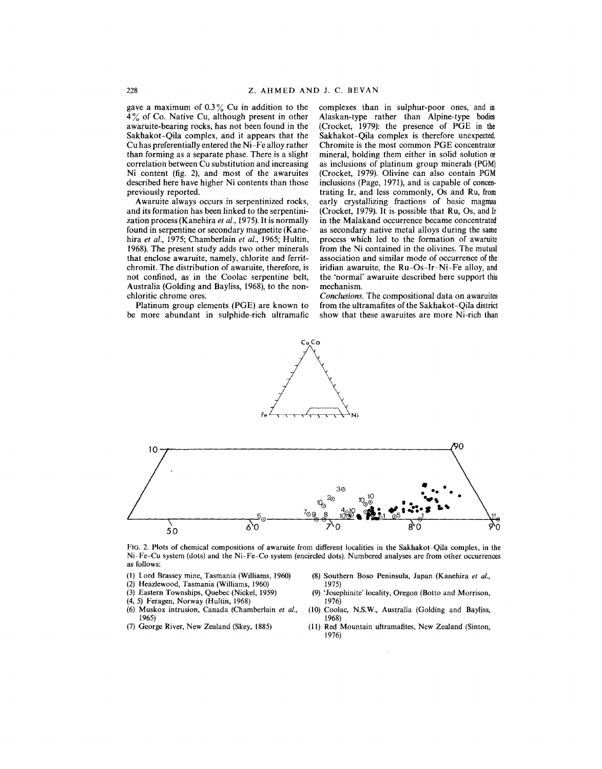gave a maximum of  $0.3\%$  Cu in addition to the  $4\%$  of Co. Native Cu, although present in other awaruite-bearing rocks, has not been found in the Sakhakot-Qila complex, and it appears that the Cu has preferentially entered the Ni-Fe alloy rather than forming as a separate phase. There is a slight correlation between Cu substitution and increasing Ni content (fig. 2), and most of the awaruites described here have higher Ni contents than those previously reported.

Awaruite always occurs in serpentinized rocks, and its formation has been linked to the serpentinization process (Kanehira *et al.,* 1975). It is normally found in serpentine or secondary magnetite (Kanehira *et al.,* 1975; Chamberlain *et aI.,* 1965; Hultin, 1968). The present study adds two other minerals that enclose awaruite, namely, chlorite and ferritchromit. The distribution of awaruite, therefore, is not confined, as in the Coolac serpentine belt, Australia (Golding and Bayliss, 1968), to the nonchloritic chrome ores.

Platinum group elements (PGE) are known to be more abundant in sulphide-rich ultramafic complexes than in sulphur-poor ones, and in Alaskan-type rather than Alpine-type bodies (Crocket, 1979): the presence of PGE in the Sakhakot-Qila complex is therefore unexpected. Chromite is the most common PGE concentrator mineral, holding them either in solid solution or as inclusions of platinum group minerals (PGM) (Crocket, 1979). Olivine can also contain PGM inclusions (Page, 1971), and is capable of concentrating Ir, and less commonly, Os and Ru, from early crystallizing fractions of basic magmas (Crocket, 1979). It is possible that Ru, Os, and Ir in the Malakand occurrence became concentrated as secondary native metal alloys during the same process which led to the formation of awaruite from the Ni contained in the olivines. The mutual association and similar mode of occurrence of the iridian awaruite, the Ru-Os-Ir-Ni-Fe alloy, and the 'normal' awaruite described here support this mechanism.

*Conclusions.* The compositional data on awaruites from the ultramafites of the Sakhakot-Qila district show that these awaruites are more Ni-rich than



CuCo

FIG. 2. Plots of chemical compositions of awaruite from different localities in the Sakhakot-Qila complex, in the Ni-Fe-Cu system (dots) and the Ni-Fe-Co system (encircled dots). Numbered analyses are from other occurrences as follows:

- (1) lord Brassey mine, Tasmania (Williams, 1960)
- (2) HeazIewood, Tasmania (Williams, 1960)
- (3) Eastern Townships, Quebec (Nickel, 1959)
- (4, 5) Feragen, Norway (Hultin, 1968)
- (6) Muskox intrusion, Canada (Chamberlain *et al.,* 1965)
- (7) George River, New Zealand (Skey, 1885)
- (8) Southern Boso Peninsula, Japan (Kanehira *et al.,*
- 1975) (9) 'Josephinite' locality, Oregon (Botto and Morrison, 1976)
- (10) Coolac, N.S.W., Australia (Golding and Bayliss, 1968)
- (11) Red Mountain uItramafites, New Zealand (Sinton, 1976)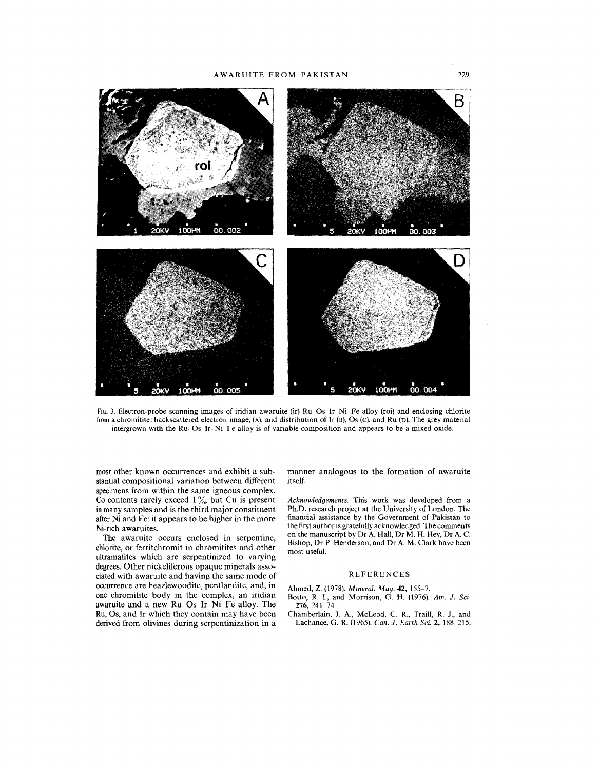

FIG.3. Electron-probe scanning images of iridian awaruite (ir) Ru-Os-Ir-Ni-Fe alloy (roi) and enclosing chlorite from a chromitite: back scattered electron image, (A), and distribution of Ir (B), Os (C), and Ru (D). The grey material intergrown with the Ru-Os-Ir-Ni-Fe alloy is of variable composition and appears to be a mixed oxide.

most other known occurrences and exhibit a substantial compositional variation between different specimens from within the same igneous complex. Co contents rarely exceed  $1\%$ , but Cu is present inmany samples and is the third major constituent after Ni and Fe: it appears to be higher in the more Ni-rich awaruites.

The awaruite occurs enclosed in serpentine, chlorite, or ferritchromit in chromitites and other ultramafites which are serpentinized to varying degrees.Other nickeliferous opaque minerals associated with awaruite and having the same mode of occurrence are heazlewoodite, pentlandite, and, in one chromitite body in the complex, an iridian awaruite and a new Ru-Os-Ir-Ni-Fe alloy. The Ru, Os, and Ir which they contain may have been derived from olivines during serpentinization in a

manner analogous to the formation of awaruite itself.

*Acknowledgements.* This work was developed from a Ph.D. research project at the University of London. The financial assistance by the Government of Pakistan to the first author is gratefully acknowledged. The comments on the manuscript by Dr A. Hall, Dr M. H. Hey, Dr A. C. Bishop, Dr P. Henderson, and Dr A. M. Clark have been most useful.

#### REFERENCES

Ahmed, Z. (1978). *Mineral. Mag.* **42,** 155-7.

- Botto, R. I., and Morrison, G. H. (1976). *Am. J. Sci.* 276,241-74.
- Chamberlain, J. A., McLeod, C. R., Traill, R. J., and Lachance, G. R. (1965). *Can. J. Earth Sci.* 2, 188-215.